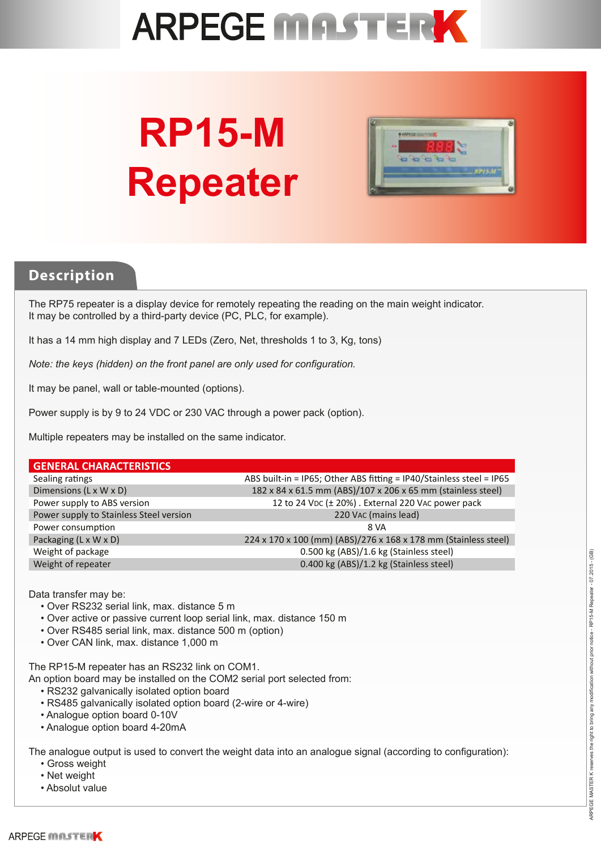

# **RP15-M Repeater**



### **Description**

The RP75 repeater is a display device for remotely repeating the reading on the main weight indicator. It may be controlled by a third-party device (PC, PLC, for example).

It has a 14 mm high display and 7 LEDs (Zero, Net, thresholds 1 to 3, Kg, tons)

*Note: the keys (hidden) on the front panel are only used for configuration.*

It may be panel, wall or table-mounted (options).

Power supply is by 9 to 24 VDC or 230 VAC through a power pack (option).

Multiple repeaters may be installed on the same indicator.

#### **GENERAL CHARACTERISTICS**

| Sealing ratings                         | ABS built-in = IP65; Other ABS fitting = IP40/Stainless steel = IP65 |
|-----------------------------------------|----------------------------------------------------------------------|
| Dimensions (L x W x D)                  | 182 x 84 x 61.5 mm (ABS)/107 x 206 x 65 mm (stainless steel)         |
| Power supply to ABS version             | 12 to 24 VDC (± 20%). External 220 VAC power pack                    |
| Power supply to Stainless Steel version | 220 VAC (mains lead)                                                 |
| Power consumption                       | 8 VA                                                                 |
| Packaging (L x W x D)                   | 224 x 170 x 100 (mm) (ABS)/276 x 168 x 178 mm (Stainless steel)      |
| Weight of package                       | 0.500 kg (ABS)/1.6 kg (Stainless steel)                              |
| Weight of repeater                      | 0.400 kg (ABS)/1.2 kg (Stainless steel)                              |

Data transfer may be:

- Over RS232 serial link, max. distance 5 m
- Over active or passive current loop serial link, max. distance 150 m
- Over RS485 serial link, max. distance 500 m (option)
- Over CAN link, max. distance 1,000 m

The RP15-M repeater has an RS232 link on COM1.

An option board may be installed on the COM2 serial port selected from:

- RS232 galvanically isolated option board
- RS485 galvanically isolated option board (2-wire or 4-wire)
- Analogue option board 0-10V
- Analogue option board 4-20mA

The analogue output is used to convert the weight data into an analogue signal (according to configuration):

- Gross weight
- Net weight
- Absolut value